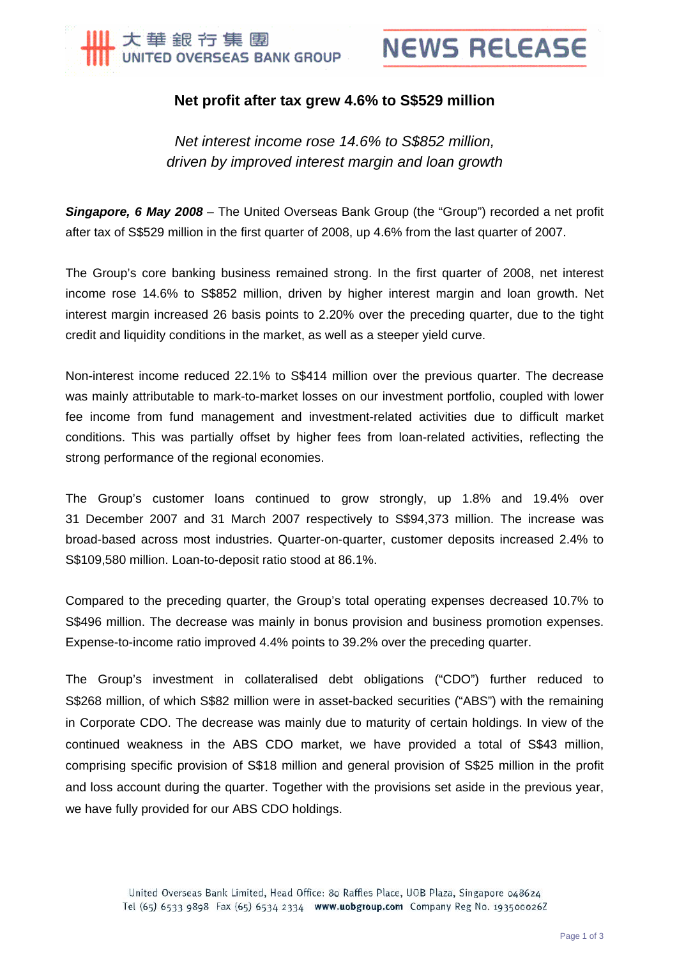

## **Net profit after tax grew 4.6% to S\$529 million**

*Net interest income rose 14.6% to S\$852 million, driven by improved interest margin and loan growth*

*Singapore, 6 May 2008* – The United Overseas Bank Group (the "Group") recorded a net profit after tax of S\$529 million in the first quarter of 2008, up 4.6% from the last quarter of 2007.

The Group's core banking business remained strong. In the first quarter of 2008, net interest income rose 14.6% to S\$852 million, driven by higher interest margin and loan growth. Net interest margin increased 26 basis points to 2.20% over the preceding quarter, due to the tight credit and liquidity conditions in the market, as well as a steeper yield curve.

Non-interest income reduced 22.1% to S\$414 million over the previous quarter. The decrease was mainly attributable to mark-to-market losses on our investment portfolio, coupled with lower fee income from fund management and investment-related activities due to difficult market conditions. This was partially offset by higher fees from loan-related activities, reflecting the strong performance of the regional economies.

The Group's customer loans continued to grow strongly, up 1.8% and 19.4% over 31 December 2007 and 31 March 2007 respectively to S\$94,373 million. The increase was broad-based across most industries. Quarter-on-quarter, customer deposits increased 2.4% to S\$109,580 million. Loan-to-deposit ratio stood at 86.1%.

Compared to the preceding quarter, the Group's total operating expenses decreased 10.7% to S\$496 million. The decrease was mainly in bonus provision and business promotion expenses. Expense-to-income ratio improved 4.4% points to 39.2% over the preceding quarter.

The Group's investment in collateralised debt obligations ("CDO") further reduced to S\$268 million, of which S\$82 million were in asset-backed securities ("ABS") with the remaining in Corporate CDO. The decrease was mainly due to maturity of certain holdings. In view of the continued weakness in the ABS CDO market, we have provided a total of S\$43 million, comprising specific provision of S\$18 million and general provision of S\$25 million in the profit and loss account during the quarter. Together with the provisions set aside in the previous year, we have fully provided for our ABS CDO holdings.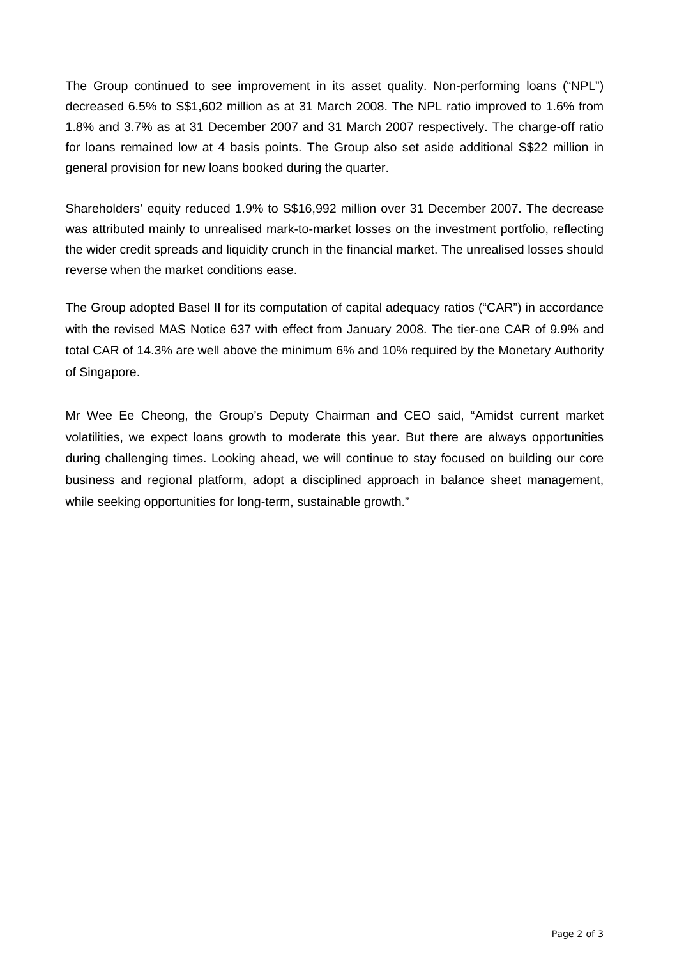The Group continued to see improvement in its asset quality. Non-performing loans ("NPL") decreased 6.5% to S\$1,602 million as at 31 March 2008. The NPL ratio improved to 1.6% from 1.8% and 3.7% as at 31 December 2007 and 31 March 2007 respectively. The charge-off ratio for loans remained low at 4 basis points. The Group also set aside additional S\$22 million in general provision for new loans booked during the quarter.

Shareholders' equity reduced 1.9% to S\$16,992 million over 31 December 2007. The decrease was attributed mainly to unrealised mark-to-market losses on the investment portfolio, reflecting the wider credit spreads and liquidity crunch in the financial market. The unrealised losses should reverse when the market conditions ease.

The Group adopted Basel II for its computation of capital adequacy ratios ("CAR") in accordance with the revised MAS Notice 637 with effect from January 2008. The tier-one CAR of 9.9% and total CAR of 14.3% are well above the minimum 6% and 10% required by the Monetary Authority of Singapore.

Mr Wee Ee Cheong, the Group's Deputy Chairman and CEO said, "Amidst current market volatilities, we expect loans growth to moderate this year. But there are always opportunities during challenging times. Looking ahead, we will continue to stay focused on building our core business and regional platform, adopt a disciplined approach in balance sheet management, while seeking opportunities for long-term, sustainable growth."